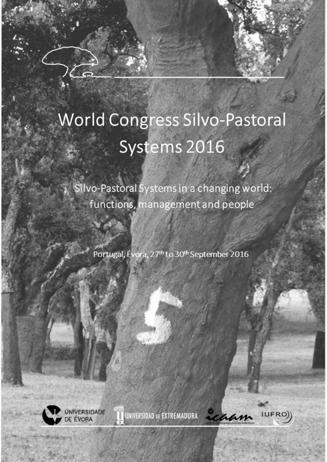## **World Congress Silvo-Pastoral** Systems 2016

Silvo-Pastoral Systems in a changing world: functions, management and people

Portugal, Évora, 27<sup>th</sup> to 30<sup>th</sup> September 2016



achan

IUFRO)